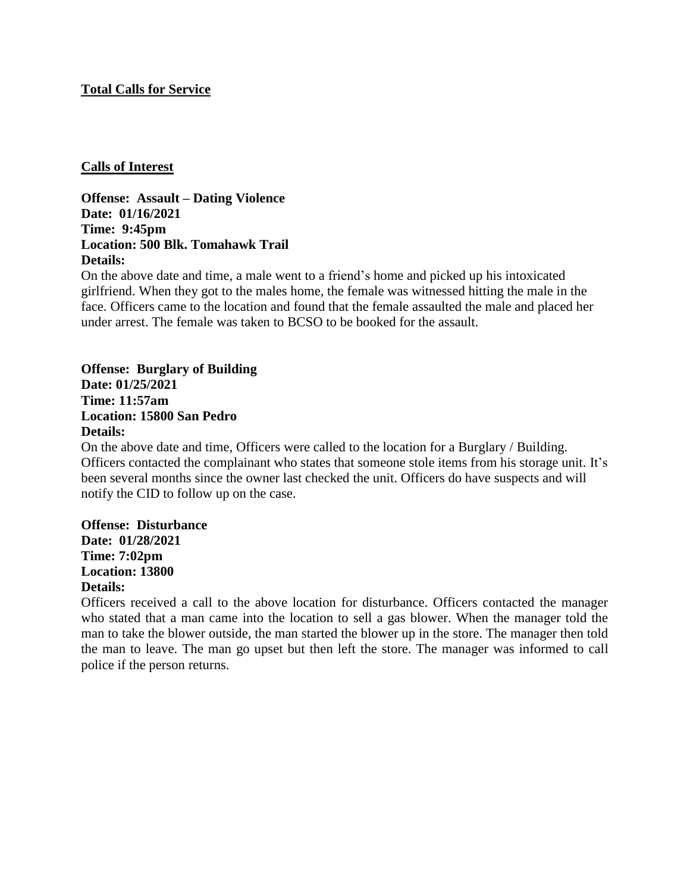### **Total Calls for Service**

### **Calls of Interest**

**Offense: Assault – Dating Violence Date: 01/16/2021 Time: 9:45pm Location: 500 Blk. Tomahawk Trail Details:**

On the above date and time, a male went to a friend's home and picked up his intoxicated girlfriend. When they got to the males home, the female was witnessed hitting the male in the face. Officers came to the location and found that the female assaulted the male and placed her under arrest. The female was taken to BCSO to be booked for the assault.

# **Offense: Burglary of Building Date: 01/25/2021 Time: 11:57am Location: 15800 San Pedro Details:**

On the above date and time, Officers were called to the location for a Burglary / Building. Officers contacted the complainant who states that someone stole items from his storage unit. It's been several months since the owner last checked the unit. Officers do have suspects and will notify the CID to follow up on the case.

## **Offense: Disturbance Date: 01/28/2021 Time: 7:02pm**

**Location: 13800 Details:**

Officers received a call to the above location for disturbance. Officers contacted the manager who stated that a man came into the location to sell a gas blower. When the manager told the man to take the blower outside, the man started the blower up in the store. The manager then told the man to leave. The man go upset but then left the store. The manager was informed to call police if the person returns.